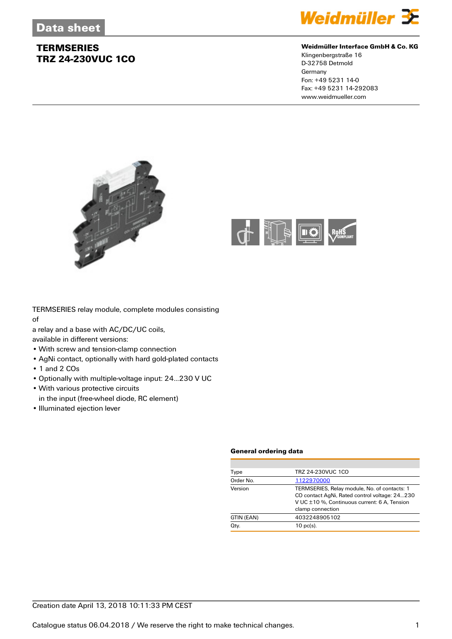

### **Weidmüller Interface GmbH & Co. KG**

Klingenbergstraße 16 D-32758 Detmold Germany Fon: +49 5231 14-0 Fax: +49 5231 14-292083 www.weidmueller.com





TERMSERIES relay module, complete modules consisting of

a relay and a base with AC/DC/UC coils,

available in different versions:

- With screw and tension-clamp connection
- AgNi contact, optionally with hard gold-plated contacts
- 1 and 2 COs
- Optionally with multiple-voltage input: 24...230 V UC
- With various protective circuits
- in the input (free-wheel diode, RC element)
- Illuminated ejection lever

#### **General ordering data**

| Type       | TRZ 24-230VUC 1CO                                                                                                                                                 |
|------------|-------------------------------------------------------------------------------------------------------------------------------------------------------------------|
| Order No.  | 1122970000                                                                                                                                                        |
| Version    | TERMSERIES, Relay module, No. of contacts: 1<br>CO contact AgNi, Rated control voltage: 24230<br>V UC ±10 %. Continuous current: 6 A. Tension<br>clamp connection |
| GTIN (EAN) | 4032248905102                                                                                                                                                     |
| Qty.       | $10$ pc(s).                                                                                                                                                       |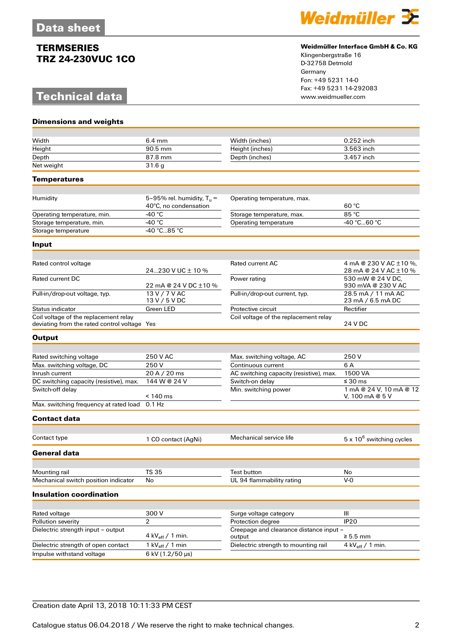## **Technical data**

**Dimensions and weights**



### **Weidmüller Interface GmbH & Co. KG**

Klingenbergstraße 16 D-32758 Detmold Germany Fon: +49 5231 14-0 Fax: +49 5231 14-292083

| Width                                                                                 | $6.4 \text{ mm}$                                      | Width (inches)                                    | 0.252 inch                                      |
|---------------------------------------------------------------------------------------|-------------------------------------------------------|---------------------------------------------------|-------------------------------------------------|
| Heiaht                                                                                | 90.5 mm                                               | Height (inches)                                   | 3.563 inch                                      |
| Depth                                                                                 | 87.8 mm                                               | Depth (inches)                                    | 3.457 inch                                      |
| Net weight                                                                            | 31.6 <sub>g</sub>                                     |                                                   |                                                 |
| <b>Temperatures</b>                                                                   |                                                       |                                                   |                                                 |
|                                                                                       |                                                       |                                                   |                                                 |
| Humidity                                                                              | 5-95% rel. humidity, $T_u =$<br>40°C, no condensation | Operating temperature, max.                       | 60 °C                                           |
| Operating temperature, min.                                                           | -40 °C                                                | Storage temperature, max.                         | 85 °C                                           |
| Storage temperature, min.                                                             | -40 $^{\circ}$ C                                      | Operating temperature                             | -40 °C60 °C                                     |
| Storage temperature                                                                   | -40 °C85 °C                                           |                                                   |                                                 |
| Input                                                                                 |                                                       |                                                   |                                                 |
|                                                                                       |                                                       |                                                   |                                                 |
| Rated control voltage                                                                 | 24230 V UC $\pm$ 10 %                                 | <b>Rated current AC</b>                           | 4 mA @ 230 V AC ±10 %,<br>28 mA @ 24 V AC ±10 % |
| <b>Rated current DC</b>                                                               | 22 mA @ 24 V DC ±10 %                                 | Power rating                                      | 530 mW @ 24 V DC.<br>930 mVA @ 230 V AC         |
| Pull-in/drop-out voltage, typ.                                                        | 13 V / 7 V AC<br>13 V / 5 V DC                        | Pull-in/drop-out current, typ.                    | 28.5 mA / 11 mA AC<br>23 mA / 6.5 mA DC         |
| Status indicator                                                                      | Green LED                                             | Protective circuit                                | Rectifier                                       |
| Coil voltage of the replacement relay<br>deviating from the rated control voltage Yes |                                                       | Coil voltage of the replacement relay             | 24 V DC                                         |
| <b>Output</b>                                                                         |                                                       |                                                   |                                                 |
|                                                                                       |                                                       |                                                   |                                                 |
| Rated switching voltage                                                               | 250 V AC                                              | Max. switching voltage, AC                        | 250 V                                           |
| Max. switching voltage, DC                                                            | 250 V                                                 | Continuous current                                | 6 A                                             |
| Inrush current                                                                        | 20 A / 20 ms                                          | AC switching capacity (resistive), max.           | 1500 VA                                         |
| DC switching capacity (resistive), max.                                               | 144 W @ 24 V                                          | Switch-on delay                                   | $\leq 30$ ms                                    |
| Switch-off delay                                                                      | $< 140$ ms                                            | Min. switching power                              | 1 mA @ 24 V, 10 mA @ 12<br>V, 100 mA @ 5 V      |
| Max. switching frequency at rated load 0.1 Hz                                         |                                                       |                                                   |                                                 |
| Contact data                                                                          |                                                       |                                                   |                                                 |
| Contact type                                                                          | 1 CO contact (AgNi)                                   | Mechanical service life                           | $5 \times 10^6$ switching cycles                |
| General data                                                                          |                                                       |                                                   |                                                 |
|                                                                                       |                                                       |                                                   |                                                 |
| Mounting rail                                                                         | <b>TS 35</b>                                          | <b>Test button</b>                                | No                                              |
| Mechanical switch position indicator                                                  | No                                                    | UL 94 flammability rating                         | $V-0$                                           |
| <b>Insulation coordination</b>                                                        |                                                       |                                                   |                                                 |
|                                                                                       |                                                       |                                                   |                                                 |
| Rated voltage                                                                         | 300V                                                  | Surge voltage category                            | Ш                                               |
| Pollution severity                                                                    | $\overline{2}$                                        | Protection degree                                 | <b>IP20</b>                                     |
| Dielectric strength input - output                                                    | 4 kV $_{\text{eff}}$ / 1 min.                         | Creepage and clearance distance input -<br>output | $\geq 5.5$ mm                                   |
| Dielectric strength of open contact                                                   | 1 kV $_{\text{eff}}$ / 1 min                          | Dielectric strength to mounting rail              | 4 kV $_{\text{eff}}$ / 1 min.                   |
| Impulse withstand voltage                                                             | 6 kV (1.2/50 µs)                                      |                                                   |                                                 |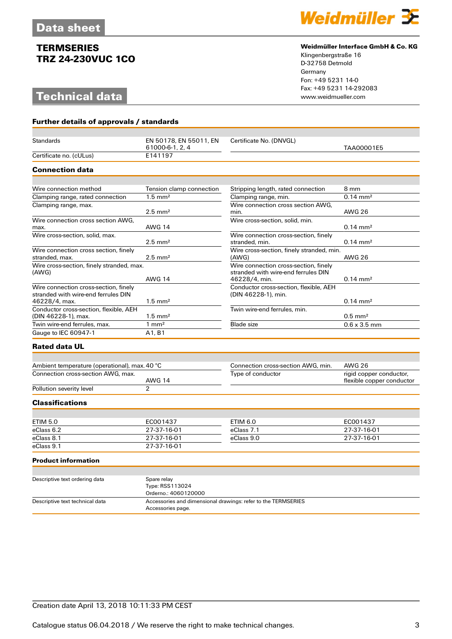# **Technical data**

**Further details of approvals / standards**



### **Weidmüller Interface GmbH & Co. KG**

Klingenbergstraße 16 D-32758 Detmold Germany Fon: +49 5231 14-0 Fax: +49 5231 14-292083

| <b>Standards</b>                                                                              | EN 50178, EN 55011, EN<br>61000-6-1, 2, 4 | Certificate No. (DNVGL)                                                                       | TAA00001E5                |
|-----------------------------------------------------------------------------------------------|-------------------------------------------|-----------------------------------------------------------------------------------------------|---------------------------|
| Certificate no. (cULus)                                                                       | E141197                                   |                                                                                               |                           |
| <b>Connection data</b>                                                                        |                                           |                                                                                               |                           |
|                                                                                               |                                           |                                                                                               |                           |
| Wire connection method                                                                        | Tension clamp connection                  | Stripping length, rated connection                                                            | 8 mm                      |
| Clamping range, rated connection                                                              | $1.5$ mm <sup>2</sup>                     | Clamping range, min.                                                                          | $0.14 \text{ mm}^2$       |
| Clamping range, max.                                                                          |                                           | Wire connection cross section AWG,                                                            |                           |
|                                                                                               | $2.5 \text{ mm}^2$                        | min.                                                                                          | <b>AWG 26</b>             |
| Wire connection cross section AWG.<br>max.                                                    | <b>AWG 14</b>                             | Wire cross-section, solid, min.                                                               | $0.14 \, \text{mm}^2$     |
| Wire cross-section, solid, max.                                                               |                                           | Wire connection cross-section, finely                                                         |                           |
|                                                                                               | $2.5$ mm <sup>2</sup>                     | stranded, min.                                                                                | $0.14 \, \text{mm}^2$     |
| Wire connection cross section, finely<br>stranded, max.                                       | $2.5 \text{ mm}^2$                        | Wire cross-section, finely stranded, min.<br>(AWG)                                            | <b>AWG 26</b>             |
| Wire cross-section, finely stranded, max.<br>(AWG)                                            | <b>AWG 14</b>                             | Wire connection cross-section, finely<br>stranded with wire-end ferrules DIN<br>46228/4, min. | $0.14 \, \text{mm}^2$     |
| Wire connection cross-section, finely<br>stranded with wire-end ferrules DIN<br>46228/4, max. | $1.5$ mm <sup>2</sup>                     | Conductor cross-section, flexible, AEH<br>(DIN 46228-1), min.                                 | $0.14 \text{ mm}^2$       |
| Conductor cross-section, flexible, AEH<br>(DIN 46228-1), max.                                 | $1.5$ mm <sup>2</sup>                     | Twin wire-end ferrules, min.                                                                  | $0.5$ mm <sup>2</sup>     |
| Twin wire-end ferrules, max.                                                                  | $1 \text{ mm}^2$                          | <b>Blade</b> size                                                                             | $0.6 \times 3.5$ mm       |
| <b>Gauge to IEC 60947-1</b>                                                                   | A1, B1                                    |                                                                                               |                           |
| <b>Rated data UL</b>                                                                          |                                           |                                                                                               |                           |
|                                                                                               |                                           |                                                                                               |                           |
| Ambient temperature (operational), max. 40 °C                                                 |                                           | Connection cross-section AWG, min.                                                            | <b>AWG 26</b>             |
| Connection cross-section AWG, max.                                                            |                                           | Type of conductor                                                                             | rigid copper conductor,   |
|                                                                                               | <b>AWG 14</b>                             |                                                                                               | flexible copper conductor |
| Pollution severity level                                                                      | $\overline{2}$                            |                                                                                               |                           |
| <b>Classifications</b>                                                                        |                                           |                                                                                               |                           |
|                                                                                               |                                           |                                                                                               |                           |
| <b>ETIM 5.0</b>                                                                               | EC001437                                  | <b>ETIM 6.0</b>                                                                               | EC001437                  |
| eClass 6.2                                                                                    | 27-37-16-01                               | eClass 7.1                                                                                    | 27-37-16-01               |
| eClass 8.1                                                                                    | 27-37-16-01                               | eClass 9.0                                                                                    | 27-37-16-01               |
| eClass 9.1                                                                                    | 27-37-16-01                               |                                                                                               |                           |
| <b>Product information</b>                                                                    |                                           |                                                                                               |                           |
|                                                                                               |                                           |                                                                                               |                           |
| Descriptive text ordering data                                                                | Spare relay<br>Type: RSS113024            |                                                                                               |                           |

|                                 | Type: RSS113024<br>Orderno.: 4060120000                                            |  |
|---------------------------------|------------------------------------------------------------------------------------|--|
| Descriptive text technical data | Accessories and dimensional drawings: refer to the TERMSERIES<br>Accessories page. |  |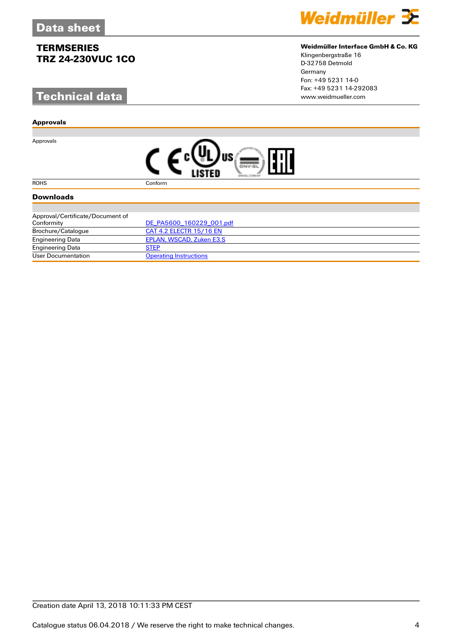# **Technical data**

#### **Approvals**

Approvals



### **Weidmüller Interface GmbH & Co. KG**

Klingenbergstraße 16 D-32758 Detmold Germany Fon: +49 5231 14-0 Fax: +49 5231 14-292083

|--|

#### ROHS Conform

### **Downloads**

| Approval/Certificate/Document of |                                |
|----------------------------------|--------------------------------|
| Conformity                       | DE PA5600 160229 001.pdf       |
| Brochure/Catalogue               | <b>CAT 4.2 ELECTR 15/16 EN</b> |
| <b>Engineering Data</b>          | EPLAN, WSCAD, Zuken E3.S       |
| <b>Engineering Data</b>          | <b>STEP</b>                    |
| User Documentation               | <b>Operating Instructions</b>  |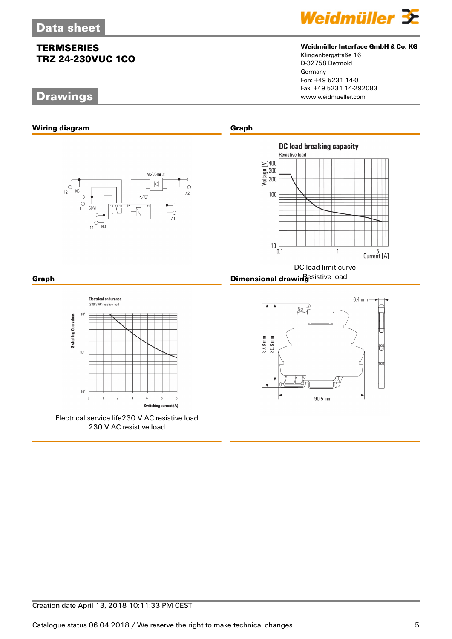## **Drawings**



### **Weidmüller Interface GmbH & Co. KG**

Klingenbergstraße 16 D-32758 Detmold Germany Fon: +49 5231 14-0 Fax: +49 5231 14-292083